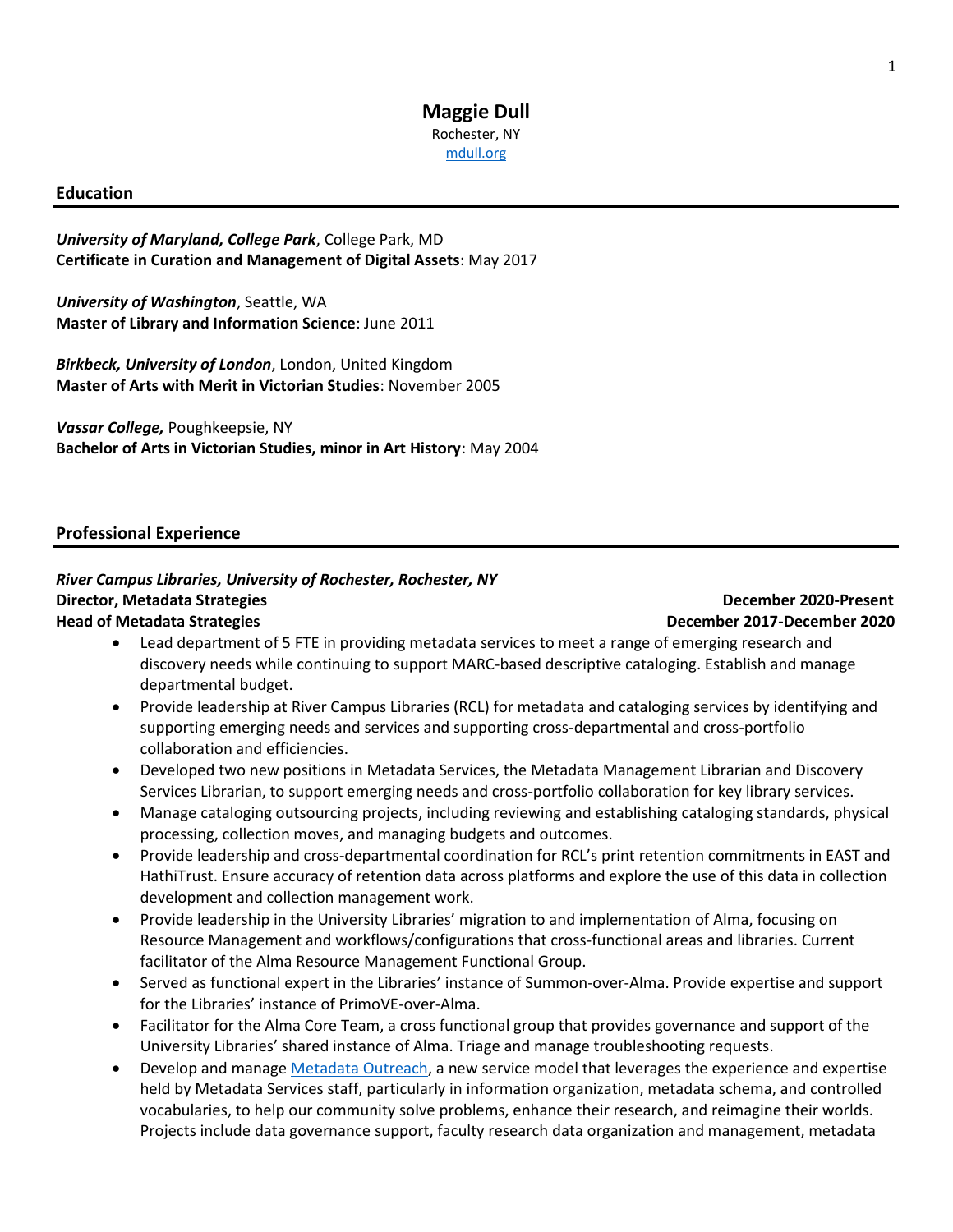### **Maggie Dull** Rochester, NY [mdull.org](https://mdull.org/)

### **Education**

*University of Maryland, College Park*, College Park, MD **Certificate in Curation and Management of Digital Assets**: May 2017

*University of Washington*, Seattle, WA **Master of Library and Information Science**: June 2011

*Birkbeck, University of London*, London, United Kingdom **Master of Arts with Merit in Victorian Studies**: November 2005

*Vassar College,* Poughkeepsie, NY **Bachelor of Arts in Victorian Studies, minor in Art History**: May 2004

### **Professional Experience**

### *River Campus Libraries, University of Rochester, Rochester, NY* **Director, Metadata Strategies December 2020-Present Head of Metadata Strategies December 2017-December 2020**

- Lead department of 5 FTE in providing metadata services to meet a range of emerging research and discovery needs while continuing to support MARC-based descriptive cataloging. Establish and manage departmental budget.
- Provide leadership at River Campus Libraries (RCL) for metadata and cataloging services by identifying and supporting emerging needs and services and supporting cross-departmental and cross-portfolio collaboration and efficiencies.
- Developed two new positions in Metadata Services, the Metadata Management Librarian and Discovery Services Librarian, to support emerging needs and cross-portfolio collaboration for key library services.
- Manage cataloging outsourcing projects, including reviewing and establishing cataloging standards, physical processing, collection moves, and managing budgets and outcomes.
- Provide leadership and cross-departmental coordination for RCL's print retention commitments in EAST and HathiTrust. Ensure accuracy of retention data across platforms and explore the use of this data in collection development and collection management work.
- Provide leadership in the University Libraries' migration to and implementation of Alma, focusing on Resource Management and workflows/configurations that cross-functional areas and libraries. Current facilitator of the Alma Resource Management Functional Group.
- Served as functional expert in the Libraries' instance of Summon-over-Alma. Provide expertise and support for the Libraries' instance of PrimoVE-over-Alma.
- Facilitator for the Alma Core Team, a cross functional group that provides governance and support of the University Libraries' shared instance of Alma. Triage and manage troubleshooting requests.
- Develop and manage [Metadata Outreach,](https://www.library.rochester.edu/services/metadata-outreach) a new service model that leverages the experience and expertise held by Metadata Services staff, particularly in information organization, metadata schema, and controlled vocabularies, to help our community solve problems, enhance their research, and reimagine their worlds. Projects include data governance support, faculty research data organization and management, metadata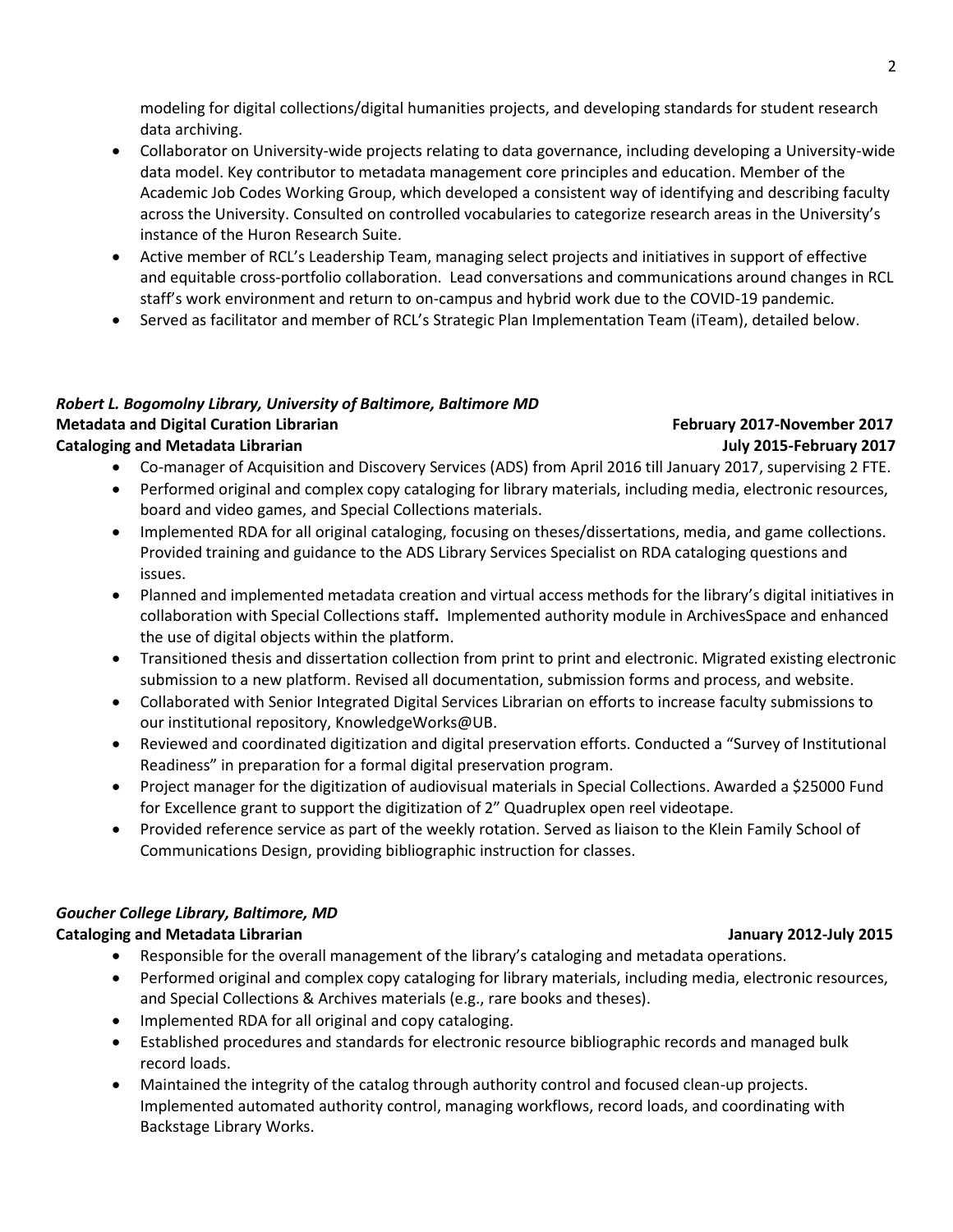modeling for digital collections/digital humanities projects, and developing standards for student research data archiving.

- Collaborator on University-wide projects relating to data governance, including developing a University-wide data model. Key contributor to metadata management core principles and education. Member of the Academic Job Codes Working Group, which developed a consistent way of identifying and describing faculty across the University. Consulted on controlled vocabularies to categorize research areas in the University's instance of the Huron Research Suite.
- Active member of RCL's Leadership Team, managing select projects and initiatives in support of effective and equitable cross-portfolio collaboration. Lead conversations and communications around changes in RCL staff's work environment and return to on-campus and hybrid work due to the COVID-19 pandemic.
- Served as facilitator and member of RCL's Strategic Plan Implementation Team (iTeam), detailed below.

# *Robert L. Bogomolny Library, University of Baltimore, Baltimore MD* **Metadata and Digital Curation Librarian February 2017-November 2017**

### **Cataloging and Metadata Librarian July 2015-February 2017**

- Co-manager of Acquisition and Discovery Services (ADS) from April 2016 till January 2017, supervising 2 FTE.
- Performed original and complex copy cataloging for library materials, including media, electronic resources, board and video games, and Special Collections materials.
- Implemented RDA for all original cataloging, focusing on theses/dissertations, media, and game collections. Provided training and guidance to the ADS Library Services Specialist on RDA cataloging questions and issues.
- Planned and implemented metadata creation and virtual access methods for the library's digital initiatives in collaboration with Special Collections staff**.** Implemented authority module in ArchivesSpace and enhanced the use of digital objects within the platform.
- Transitioned thesis and dissertation collection from print to print and electronic. Migrated existing electronic submission to a new platform. Revised all documentation, submission forms and process, and website.
- Collaborated with Senior Integrated Digital Services Librarian on efforts to increase faculty submissions to our institutional repository, KnowledgeWorks@UB.
- Reviewed and coordinated digitization and digital preservation efforts. Conducted a "Survey of Institutional Readiness" in preparation for a formal digital preservation program.
- Project manager for the digitization of audiovisual materials in Special Collections. Awarded a \$25000 Fund for Excellence grant to support the digitization of 2" Quadruplex open reel videotape.
- Provided reference service as part of the weekly rotation. Served as liaison to the Klein Family School of Communications Design, providing bibliographic instruction for classes.

### *Goucher College Library, Baltimore, MD*

### **Cataloging and Metadata Librarian January 2012-July 2015**

- Responsible for the overall management of the library's cataloging and metadata operations.
- Performed original and complex copy cataloging for library materials, including media, electronic resources, and Special Collections & Archives materials (e.g., rare books and theses).
- Implemented RDA for all original and copy cataloging.
- Established procedures and standards for electronic resource bibliographic records and managed bulk record loads.
- Maintained the integrity of the catalog through authority control and focused clean-up projects. Implemented automated authority control, managing workflows, record loads, and coordinating with Backstage Library Works.

### 2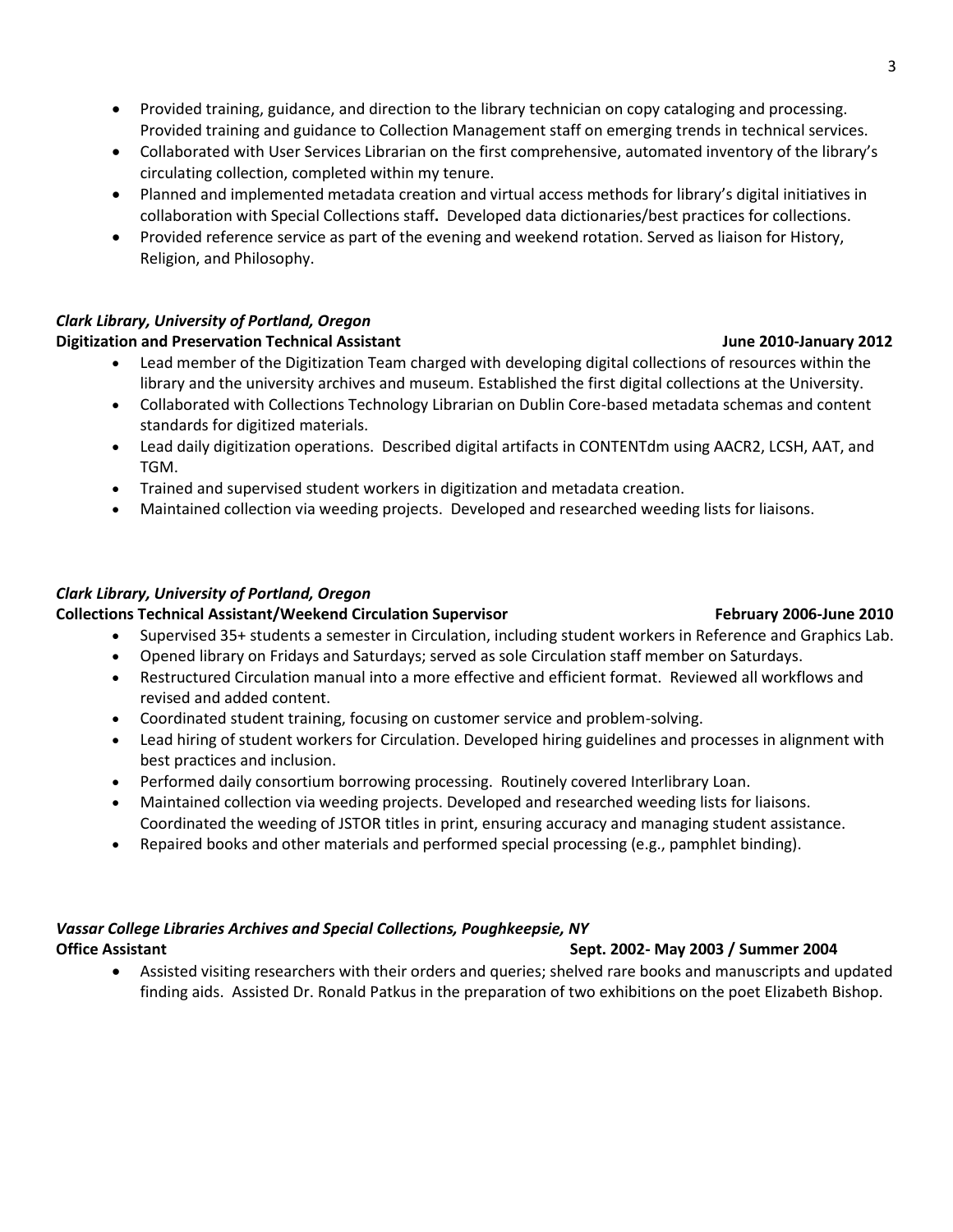- Provided training, guidance, and direction to the library technician on copy cataloging and processing. Provided training and guidance to Collection Management staff on emerging trends in technical services.
- Collaborated with User Services Librarian on the first comprehensive, automated inventory of the library's circulating collection, completed within my tenure.
- Planned and implemented metadata creation and virtual access methods for library's digital initiatives in collaboration with Special Collections staff**.** Developed data dictionaries/best practices for collections.
- Provided reference service as part of the evening and weekend rotation. Served as liaison for History, Religion, and Philosophy.

### *Clark Library, University of Portland, Oregon*

### **Digitization and Preservation Technical Assistant Christianus Communisty Construction Communisty 2012**

- Lead member of the Digitization Team charged with developing digital collections of resources within the library and the university archives and museum. Established the first digital collections at the University.
- Collaborated with Collections Technology Librarian on Dublin Core-based metadata schemas and content standards for digitized materials.
- Lead daily digitization operations. Described digital artifacts in CONTENTdm using AACR2, LCSH, AAT, and TGM.
- Trained and supervised student workers in digitization and metadata creation.
- Maintained collection via weeding projects. Developed and researched weeding lists for liaisons.

### *Clark Library, University of Portland, Oregon*

### **Collections Technical Assistant/Weekend Circulation Supervisor February 2006-June 2010**

- Supervised 35+ students a semester in Circulation, including student workers in Reference and Graphics Lab.
- Opened library on Fridays and Saturdays; served as sole Circulation staff member on Saturdays.
- Restructured Circulation manual into a more effective and efficient format. Reviewed all workflows and revised and added content.
- Coordinated student training, focusing on customer service and problem-solving.
- Lead hiring of student workers for Circulation. Developed hiring guidelines and processes in alignment with best practices and inclusion.
- Performed daily consortium borrowing processing. Routinely covered Interlibrary Loan.
- Maintained collection via weeding projects. Developed and researched weeding lists for liaisons. Coordinated the weeding of JSTOR titles in print, ensuring accuracy and managing student assistance.
- Repaired books and other materials and performed special processing (e.g., pamphlet binding).

# *Vassar College Libraries Archives and Special Collections, Poughkeepsie, NY*

### **Office Assistant Sept. 2002- May 2003 / Summer 2004**

• Assisted visiting researchers with their orders and queries; shelved rare books and manuscripts and updated finding aids. Assisted Dr. Ronald Patkus in the preparation of two exhibitions on the poet Elizabeth Bishop.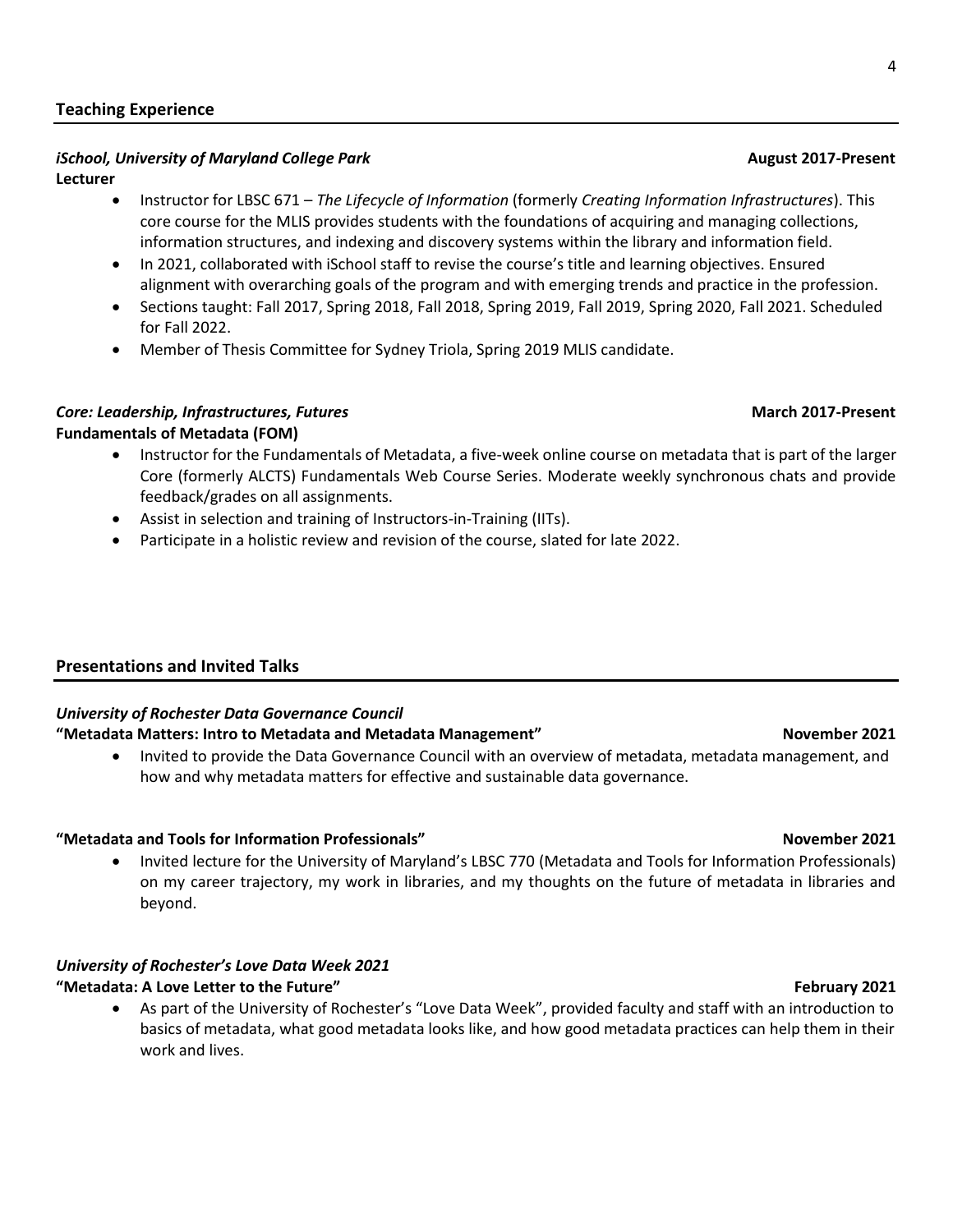### **Teaching Experience**

# *iSchool, University of Maryland College Park* August 2017-Present

### **Lecturer**

- Instructor for LBSC 671 *The Lifecycle of Information* (formerly *Creating Information Infrastructures*). This core course for the MLIS provides students with the foundations of acquiring and managing collections, information structures, and indexing and discovery systems within the library and information field.
- In 2021, collaborated with iSchool staff to revise the course's title and learning objectives. Ensured alignment with overarching goals of the program and with emerging trends and practice in the profession.
- Sections taught: Fall 2017, Spring 2018, Fall 2018, Spring 2019, Fall 2019, Spring 2020, Fall 2021. Scheduled for Fall 2022.
- Member of Thesis Committee for Sydney Triola, Spring 2019 MLIS candidate.

### *Core: Leadership, Infrastructures, Futures* **March 2017-Present Fundamentals of Metadata (FOM)**

- Instructor for the Fundamentals of Metadata, a five-week online course on metadata that is part of the larger Core (formerly ALCTS) Fundamentals Web Course Series. Moderate weekly synchronous chats and provide feedback/grades on all assignments.
- Assist in selection and training of Instructors-in-Training (IITs).
- Participate in a holistic review and revision of the course, slated for late 2022.

### **Presentations and Invited Talks**

### *University of Rochester Data Governance Council*

### **"Metadata Matters: Intro to Metadata and Metadata Management" November 2021**

• Invited to provide the Data Governance Council with an overview of metadata, metadata management, and how and why metadata matters for effective and sustainable data governance.

### **"Metadata and Tools for Information Professionals" November 2021**

• Invited lecture for the University of Maryland's LBSC 770 (Metadata and Tools for Information Professionals) on my career trajectory, my work in libraries, and my thoughts on the future of metadata in libraries and beyond.

### *University of Rochester's Love Data Week 2021*

### **"Metadata: A Love Letter to the Future" February 2021**

• As part of the University of Rochester's "Love Data Week", provided faculty and staff with an introduction to basics of metadata, what good metadata looks like, and how good metadata practices can help them in their work and lives.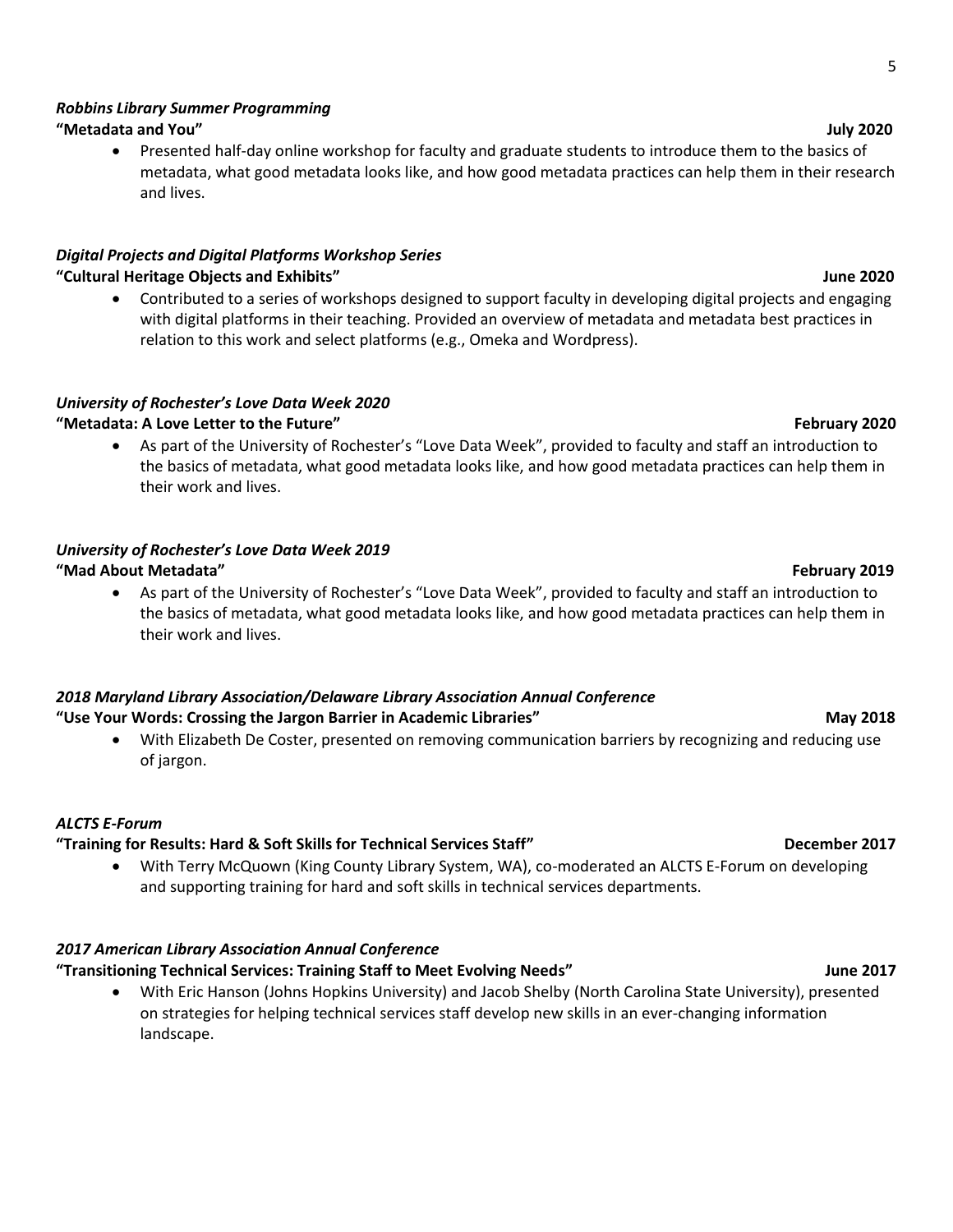# *Robbins Library Summer Programming*

# **"Metadata and You" July 2020**

• Presented half-day online workshop for faculty and graduate students to introduce them to the basics of metadata, what good metadata looks like, and how good metadata practices can help them in their research and lives.

# *Digital Projects and Digital Platforms Workshop Series*

# **"Cultural Heritage Objects and Exhibits" June 2020**

• Contributed to a series of workshops designed to support faculty in developing digital projects and engaging with digital platforms in their teaching. Provided an overview of metadata and metadata best practices in relation to this work and select platforms (e.g., Omeka and Wordpress).

# *University of Rochester's Love Data Week 2020*

# **"Metadata: A Love Letter to the Future" February 2020**

• As part of the University of Rochester's "Love Data Week", provided to faculty and staff an introduction to the basics of metadata, what good metadata looks like, and how good metadata practices can help them in their work and lives.

# *University of Rochester's Love Data Week 2019*

# **"Mad About Metadata" February 2019**

• As part of the University of Rochester's "Love Data Week", provided to faculty and staff an introduction to the basics of metadata, what good metadata looks like, and how good metadata practices can help them in their work and lives.

### *2018 Maryland Library Association/Delaware Library Association Annual Conference* **"Use Your Words: Crossing the Jargon Barrier in Academic Libraries" May 2018**

• With Elizabeth De Coster, presented on removing communication barriers by recognizing and reducing use of jargon.

# *ALCTS E-Forum*

# **"Training for Results: Hard & Soft Skills for Technical Services Staff" December 2017**

• With Terry McQuown (King County Library System, WA), co-moderated an ALCTS E-Forum on developing and supporting training for hard and soft skills in technical services departments.

# *2017 American Library Association Annual Conference*

# **"Transitioning Technical Services: Training Staff to Meet Evolving Needs" June 2017**

• With Eric Hanson (Johns Hopkins University) and Jacob Shelby (North Carolina State University), presented on strategies for helping technical services staff develop new skills in an ever-changing information landscape.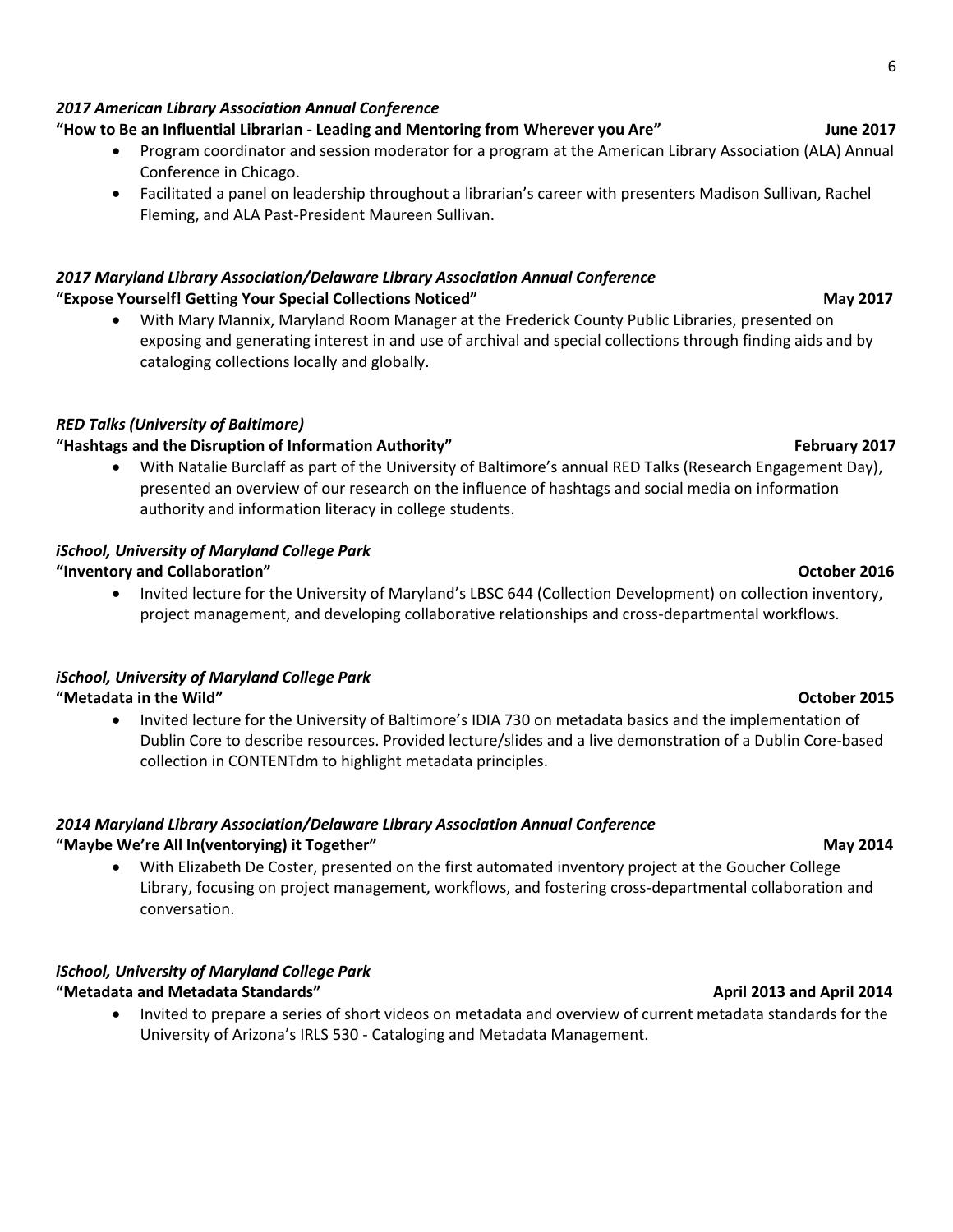### *2017 American Library Association Annual Conference*

### **"How to Be an Influential Librarian - Leading and Mentoring from Wherever you Are" June 2017**

- Program coordinator and session moderator for a program at the American Library Association (ALA) Annual Conference in Chicago.
- Facilitated a panel on leadership throughout a librarian's career with presenters Madison Sullivan, Rachel Fleming, and ALA Past-President Maureen Sullivan.

### *2017 Maryland Library Association/Delaware Library Association Annual Conference* **"Expose Yourself! Getting Your Special Collections Noticed" May 2017**

• With Mary Mannix, Maryland Room Manager at the Frederick County Public Libraries, presented on exposing and generating interest in and use of archival and special collections through finding aids and by cataloging collections locally and globally.

### *RED Talks (University of Baltimore)*

### **"Hashtags and the Disruption of Information Authority" February 2017**

• With Natalie Burclaff as part of the University of Baltimore's annual RED Talks (Research Engagement Day), presented an overview of our research on the influence of hashtags and social media on information authority and information literacy in college students.

### *iSchool, University of Maryland College Park*

### **"Inventory and Collaboration" October 2016**

• Invited lecture for the University of Maryland's LBSC 644 (Collection Development) on collection inventory, project management, and developing collaborative relationships and cross-departmental workflows.

# *iSchool, University of Maryland College Park*

**"Metadata in the Wild" October 2015**

• Invited lecture for the University of Baltimore's IDIA 730 on metadata basics and the implementation of Dublin Core to describe resources. Provided lecture/slides and a live demonstration of a Dublin Core-based collection in CONTENTdm to highlight metadata principles.

### *2014 Maryland Library Association/Delaware Library Association Annual Conference* **"Maybe We're All In(ventorying) it Together" May 2014**

• With Elizabeth De Coster, presented on the first automated inventory project at the Goucher College Library, focusing on project management, workflows, and fostering cross-departmental collaboration and conversation.

### *iSchool, University of Maryland College Park* **Metadata and Metadata Standards" April 2014 April 2014 April 2014**

• Invited to prepare a series of short videos on metadata and overview of current metadata standards for the University of Arizona's IRLS 530 - Cataloging and Metadata Management.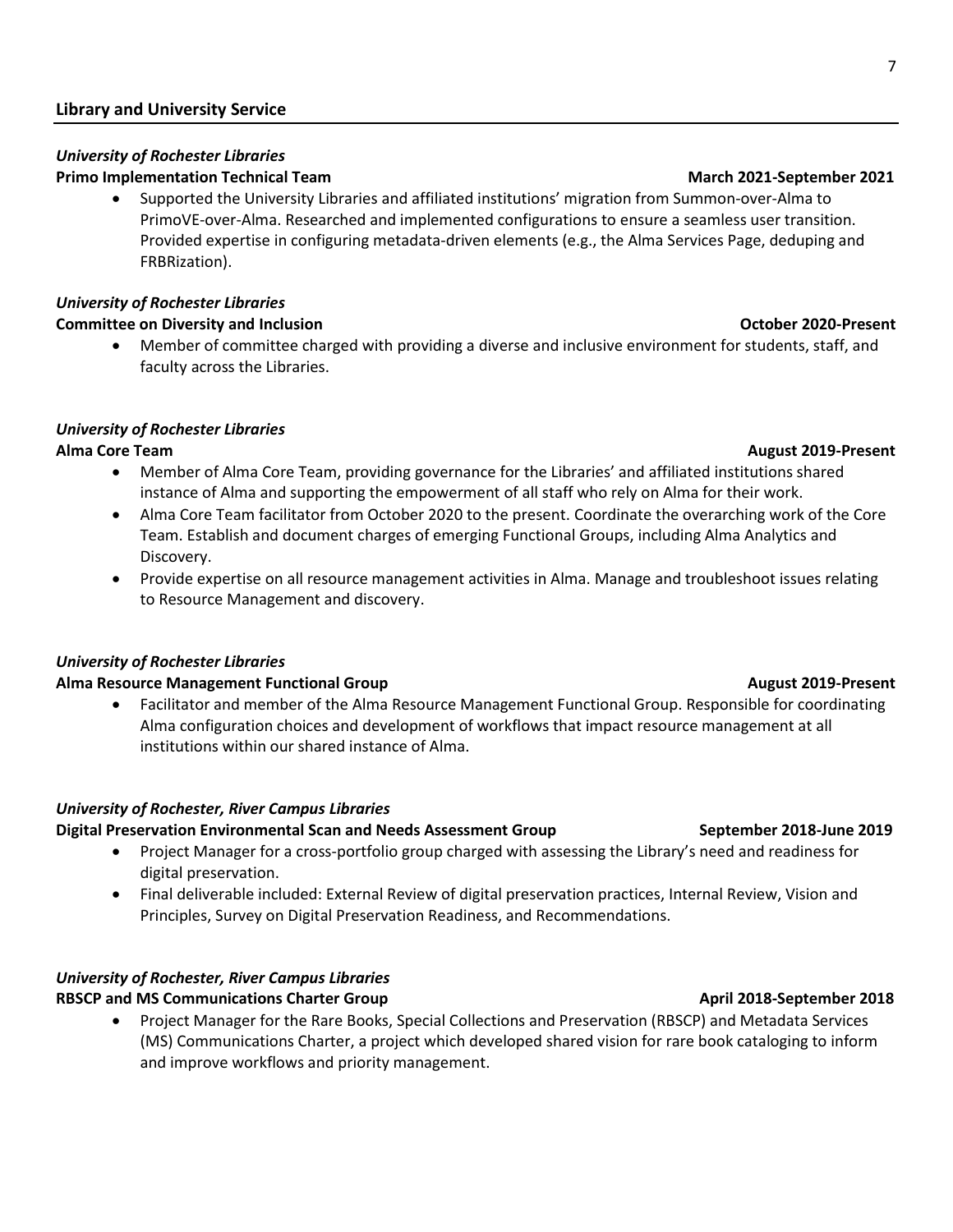### **Library and University Service**

### *University of Rochester Libraries* **Primo Implementation Technical Team March 2021-September 2021**

• Supported the University Libraries and affiliated institutions' migration from Summon-over-Alma to PrimoVE-over-Alma. Researched and implemented configurations to ensure a seamless user transition. Provided expertise in configuring metadata-driven elements (e.g., the Alma Services Page, deduping and FRBRization).

### *University of Rochester Libraries*

### **Committee on Diversity and Inclusion Committee on Diversity and Inclusion Committee on Diversity and Inclusion**

• Member of committee charged with providing a diverse and inclusive environment for students, staff, and faculty across the Libraries.

### *University of Rochester Libraries*

- Member of Alma Core Team, providing governance for the Libraries' and affiliated institutions shared instance of Alma and supporting the empowerment of all staff who rely on Alma for their work.
- Alma Core Team facilitator from October 2020 to the present. Coordinate the overarching work of the Core Team. Establish and document charges of emerging Functional Groups, including Alma Analytics and Discovery.
- Provide expertise on all resource management activities in Alma. Manage and troubleshoot issues relating to Resource Management and discovery.

### *University of Rochester Libraries*

### **Alma Resource Management Functional Group August 2019-Present August 2019-Present**

• Facilitator and member of the Alma Resource Management Functional Group. Responsible for coordinating Alma configuration choices and development of workflows that impact resource management at all institutions within our shared instance of Alma.

### *University of Rochester, River Campus Libraries*

### **Digital Preservation Environmental Scan and Needs Assessment Group September 2018-June 2019**

- Project Manager for a cross-portfolio group charged with assessing the Library's need and readiness for digital preservation.
- Final deliverable included: External Review of digital preservation practices, Internal Review, Vision and Principles, Survey on Digital Preservation Readiness, and Recommendations.

### *University of Rochester, River Campus Libraries* RBSCP and MS Communications Charter Group **April 2018-September 2018**

• Project Manager for the Rare Books, Special Collections and Preservation (RBSCP) and Metadata Services (MS) Communications Charter, a project which developed shared vision for rare book cataloging to inform and improve workflows and priority management.

# **Alma Core Team August 2019-Present**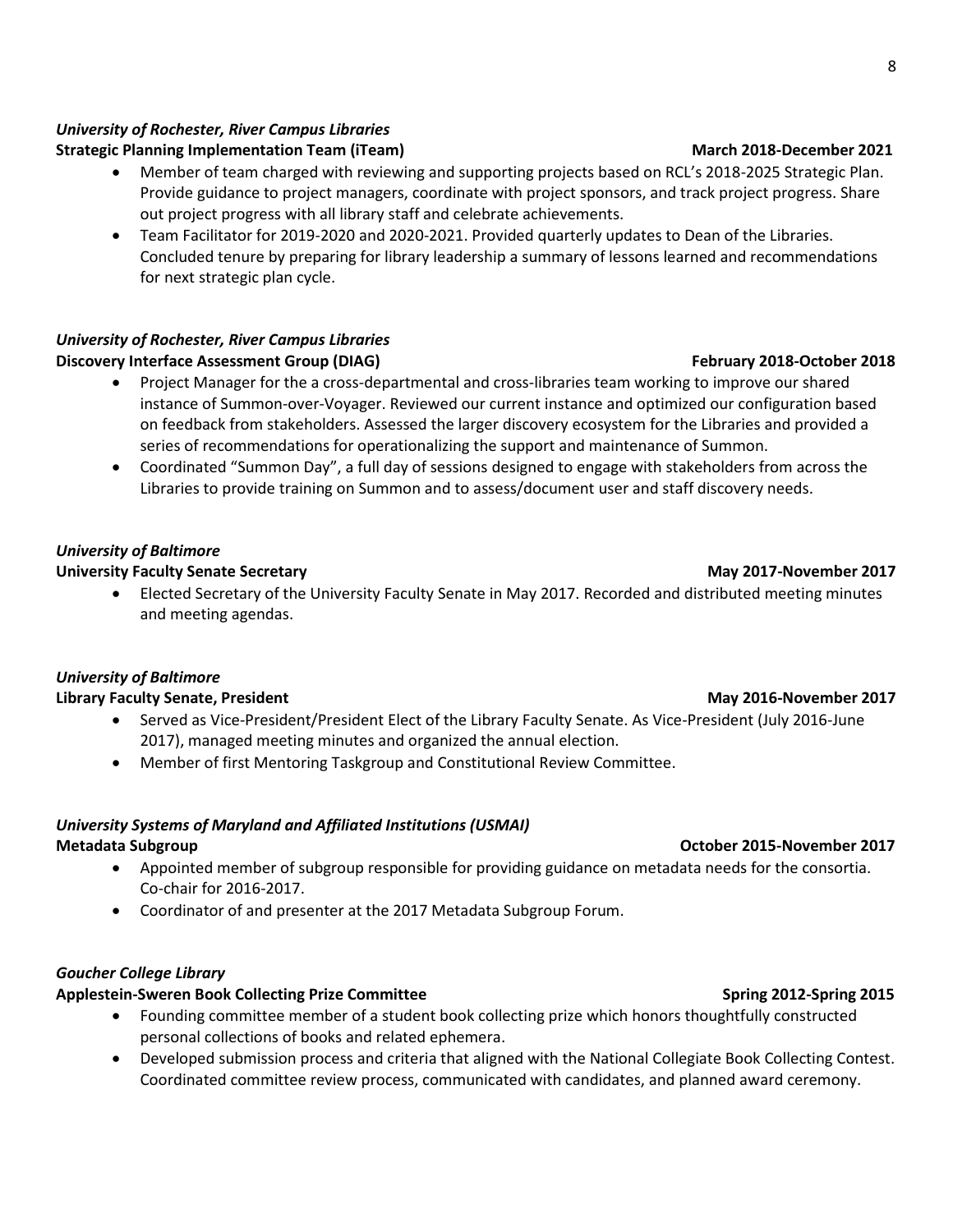### *University of Rochester, River Campus Libraries*

### **Strategic Planning Implementation Team (iTeam) March 2018-December 2021**

- Member of team charged with reviewing and supporting projects based on RCL's 2018-2025 Strategic Plan. Provide guidance to project managers, coordinate with project sponsors, and track project progress. Share out project progress with all library staff and celebrate achievements.
- Team Facilitator for 2019-2020 and 2020-2021. Provided quarterly updates to Dean of the Libraries. Concluded tenure by preparing for library leadership a summary of lessons learned and recommendations for next strategic plan cycle.

### *University of Rochester, River Campus Libraries* **Discovery Interface Assessment Group (DIAG) February 2018-October 2018**

- Project Manager for the a cross-departmental and cross-libraries team working to improve our shared instance of Summon-over-Voyager. Reviewed our current instance and optimized our configuration based on feedback from stakeholders. Assessed the larger discovery ecosystem for the Libraries and provided a series of recommendations for operationalizing the support and maintenance of Summon.
- Coordinated "Summon Day", a full day of sessions designed to engage with stakeholders from across the Libraries to provide training on Summon and to assess/document user and staff discovery needs.

### *University of Baltimore*

### **University Faculty Senate Secretary May 2017-November 2017**

• Elected Secretary of the University Faculty Senate in May 2017. Recorded and distributed meeting minutes and meeting agendas.

### *University of Baltimore*

### **Library Faculty Senate, President May 2016-November 2017**

- Served as Vice-President/President Elect of the Library Faculty Senate. As Vice-President (July 2016-June 2017), managed meeting minutes and organized the annual election.
- Member of first Mentoring Taskgroup and Constitutional Review Committee.

### *University Systems of Maryland and Affiliated Institutions (USMAI)* **Metadata Subgroup Community Community Community Community Community Community Community Community Community Community Community Community Community Community Community Community Community Community Community Community Com**

- Appointed member of subgroup responsible for providing guidance on metadata needs for the consortia. Co-chair for 2016-2017.
- Coordinator of and presenter at the 2017 Metadata Subgroup Forum.

### *Goucher College Library*

### **Applestein-Sweren Book Collecting Prize Committee Spring 2012-Spring 2015**

- Founding committee member of a student book collecting prize which honors thoughtfully constructed personal collections of books and related ephemera.
- Developed submission process and criteria that aligned with the National Collegiate Book Collecting Contest. Coordinated committee review process, communicated with candidates, and planned award ceremony.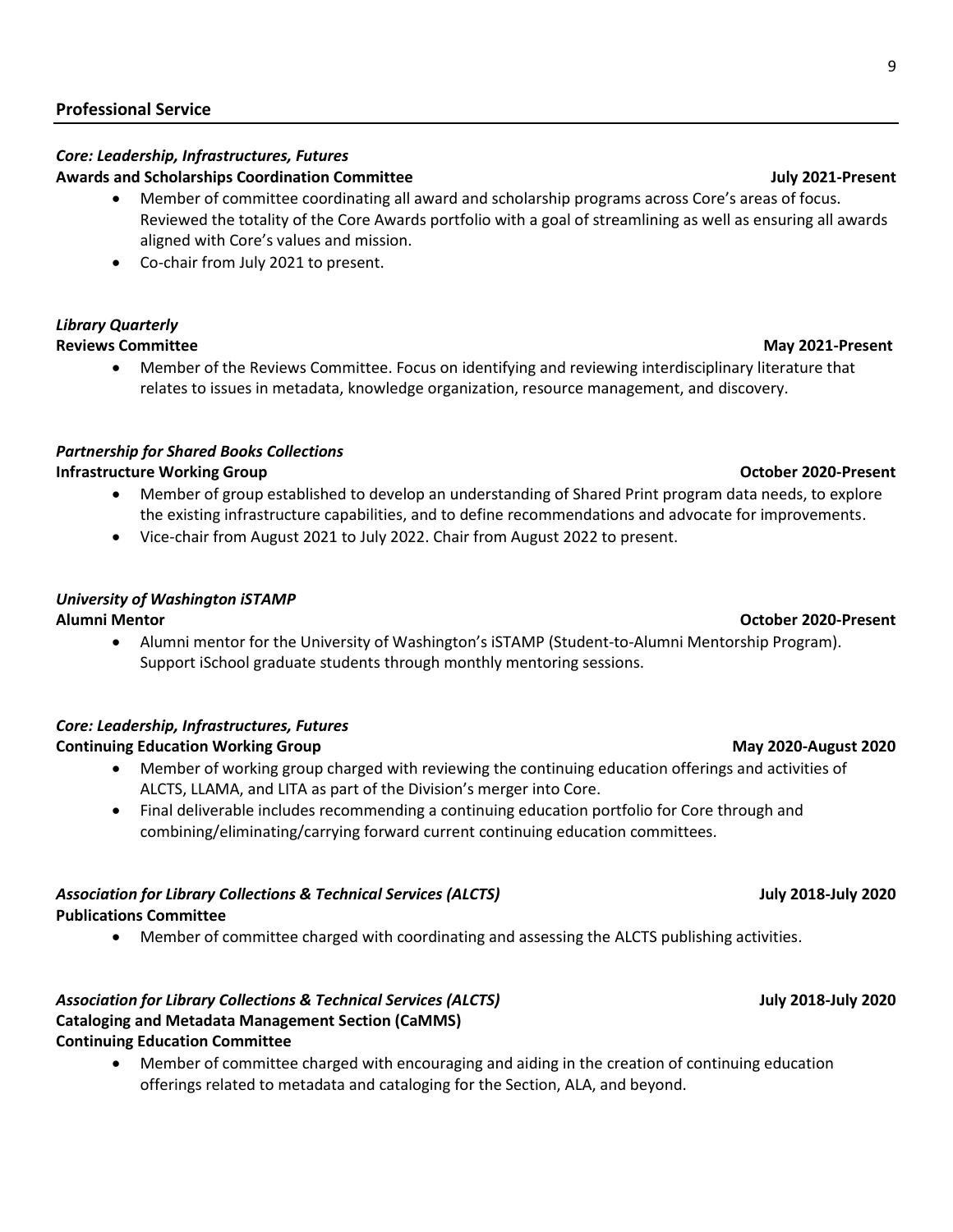### **Professional Service**

### *Core: Leadership, Infrastructures, Futures*  **Awards and Scholarships Coordination Committee July 2021-Present**

- Member of committee coordinating all award and scholarship programs across Core's areas of focus. Reviewed the totality of the Core Awards portfolio with a goal of streamlining as well as ensuring all awards aligned with Core's values and mission.
- Co-chair from July 2021 to present.

### *Library Quarterly*  **Reviews Committee May 2021-Present**

• Member of the Reviews Committee. Focus on identifying and reviewing interdisciplinary literature that relates to issues in metadata, knowledge organization, resource management, and discovery.

### *Partnership for Shared Books Collections*

### **Infrastructure Working Group Community Community Community Community Community Community Community Community Community Community Community Community Community Community Community Community Community Community Community Co**

- Member of group established to develop an understanding of Shared Print program data needs, to explore the existing infrastructure capabilities, and to define recommendations and advocate for improvements.
- Vice-chair from August 2021 to July 2022. Chair from August 2022 to present.

### *University of Washington iSTAMP*

### **Alumni Mentor October 2020-Present**

• Alumni mentor for the University of Washington's iSTAMP (Student-to-Alumni Mentorship Program). Support iSchool graduate students through monthly mentoring sessions.

### *Core: Leadership, Infrastructures, Futures*  **Continuing Education Working Group May 2020-August 2020**

- Member of working group charged with reviewing the continuing education offerings and activities of ALCTS, LLAMA, and LITA as part of the Division's merger into Core.
- Final deliverable includes recommending a continuing education portfolio for Core through and combining/eliminating/carrying forward current continuing education committees.

### *Association for Library Collections & Technical Services (ALCTS)* **July 2018-July 2020 Publications Committee**

• Member of committee charged with coordinating and assessing the ALCTS publishing activities.

### *Association for Library Collections & Technical Services (ALCTS)* **July 2018-July 2020 Cataloging and Metadata Management Section (CaMMS) Continuing Education Committee**

• Member of committee charged with encouraging and aiding in the creation of continuing education offerings related to metadata and cataloging for the Section, ALA, and beyond.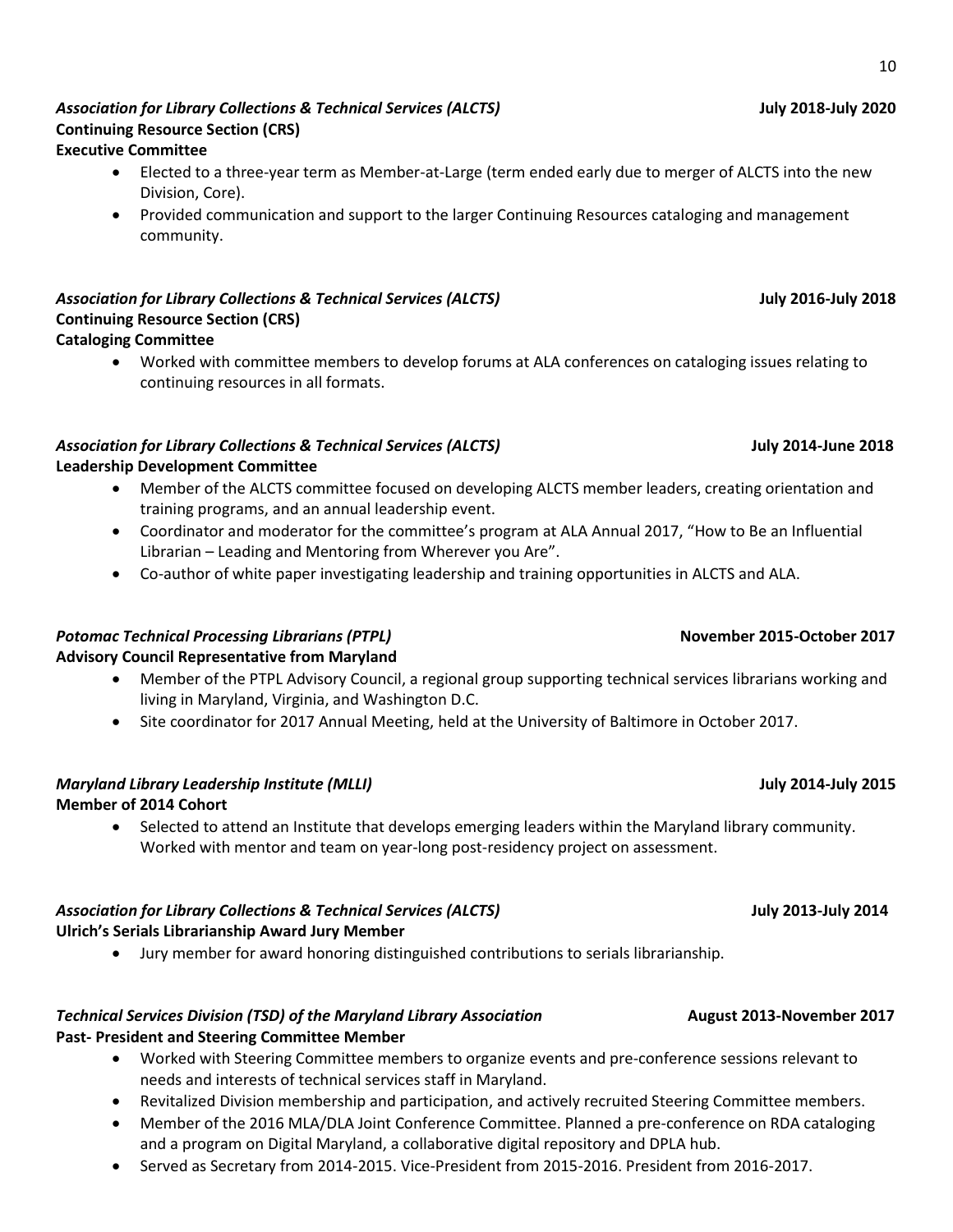### • Worked with committee members to develop forums at ALA conferences on cataloging issues relating to continuing resources in all formats.

### *Association for Library Collections & Technical Services (ALCTS)* **July 2014-June 2018 Leadership Development Committee**

- Member of the ALCTS committee focused on developing ALCTS member leaders, creating orientation and training programs, and an annual leadership event.
- Coordinator and moderator for the committee's program at ALA Annual 2017, "How to Be an Influential Librarian – Leading and Mentoring from Wherever you Are".
- Co-author of white paper investigating leadership and training opportunities in ALCTS and ALA.

### **Potomac Technical Processing Librarians (PTPL)** November 2015-October 2017

**Continuing Resource Section (CRS)** 

**Cataloging Committee** 

### **Advisory Council Representative from Maryland**

- Member of the PTPL Advisory Council, a regional group supporting technical services librarians working and living in Maryland, Virginia, and Washington D.C.
- Site coordinator for 2017 Annual Meeting, held at the University of Baltimore in October 2017.

# *Maryland Library Leadership Institute (MLLI)* **July 2014-July 2015**

### **Member of 2014 Cohort**

• Selected to attend an Institute that develops emerging leaders within the Maryland library community. Worked with mentor and team on year-long post-residency project on assessment.

### *Association for Library Collections & Technical Services (ALCTS)* **July 2013-July 2014 Ulrich's Serials Librarianship Award Jury Member**

• Jury member for award honoring distinguished contributions to serials librarianship.

### *Technical Services Division (TSD) of the Maryland Library Association* **August 2013-November 2017 Past- President and Steering Committee Member**

- Worked with Steering Committee members to organize events and pre-conference sessions relevant to needs and interests of technical services staff in Maryland.
- Revitalized Division membership and participation, and actively recruited Steering Committee members.
- Member of the 2016 MLA/DLA Joint Conference Committee. Planned a pre-conference on RDA cataloging and a program on Digital Maryland, a collaborative digital repository and DPLA hub.
- Served as Secretary from 2014-2015. Vice-President from 2015-2016. President from 2016-2017.

### *Association for Library Collections & Technical Services (ALCTS)* **July 2018-July 2020 Continuing Resource Section (CRS) Executive Committee**

- Elected to a three-year term as Member-at-Large (term ended early due to merger of ALCTS into the new Division, Core).
- Provided communication and support to the larger Continuing Resources cataloging and management community.

# *Association for Library Collections & Technical Services (ALCTS)* **July 2016-July 2018**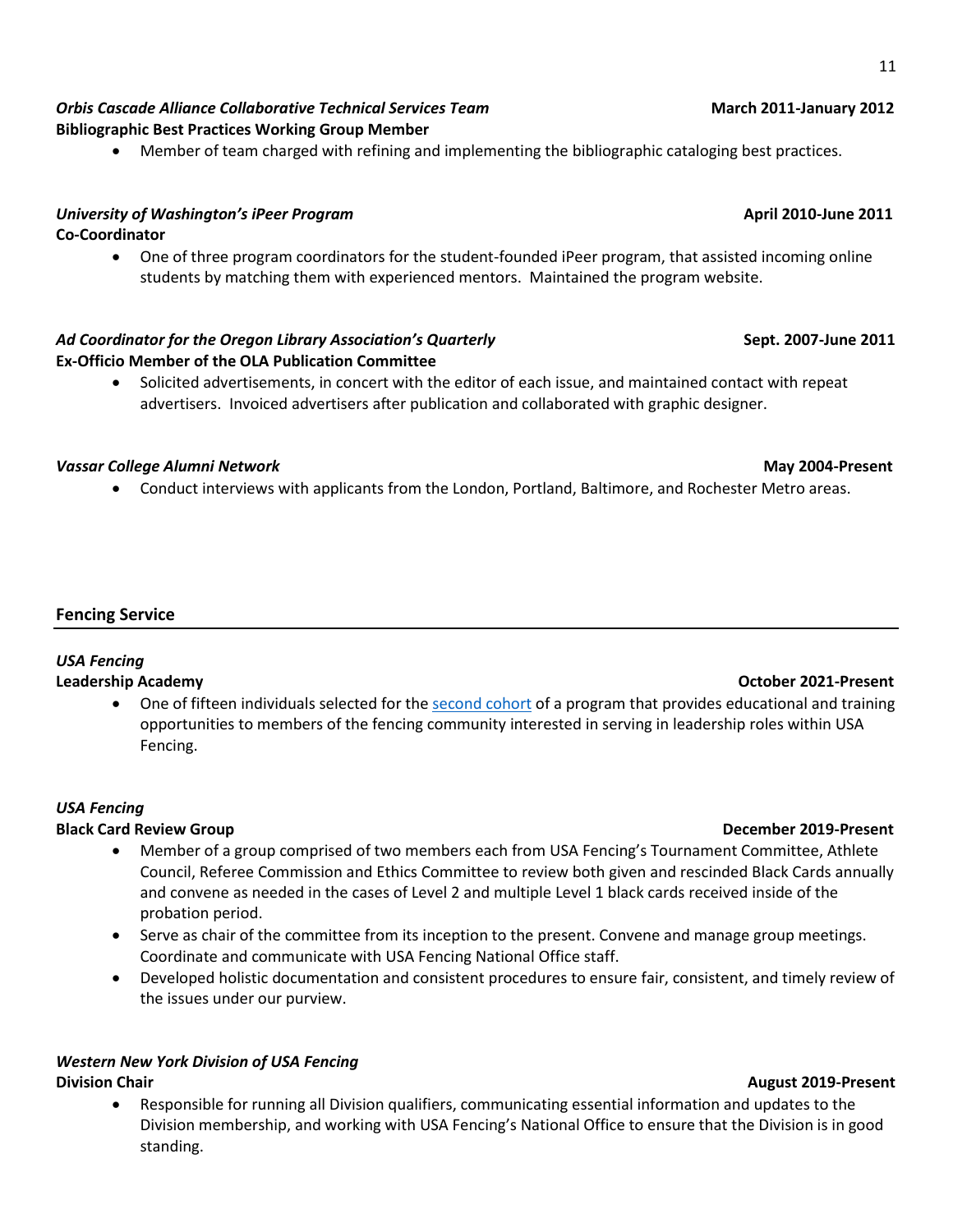11

### *Orbis Cascade Alliance Collaborative Technical Services Team* **March 2011-January 2012 Bibliographic Best Practices Working Group Member**

• Member of team charged with refining and implementing the bibliographic cataloging best practices.

### *University of Washington's iPeer Program* **April 2010-June 2011 Co-Coordinator**

• One of three program coordinators for the student-founded iPeer program, that assisted incoming online students by matching them with experienced mentors. Maintained the program website.

# *Ad Coordinator for the Oregon Library Association's Quarterly* **Sept. 2007-June 2011 Ex-Officio Member of the OLA Publication Committee**

• Solicited advertisements, in concert with the editor of each issue, and maintained contact with repeat advertisers. Invoiced advertisers after publication and collaborated with graphic designer.

# *Vassar College Alumni Network* **May 2004-Present**

• Conduct interviews with applicants from the London, Portland, Baltimore, and Rochester Metro areas.

# **Fencing Service**

# *USA Fencing*

### **Leadership Academy October 2021-Present**

• One of fifteen individuals selected for the [second cohort](https://www.usafencing.org/news_article/show/1190211) of a program that provides educational and training opportunities to members of the fencing community interested in serving in leadership roles within USA Fencing.

# *USA Fencing*

# **Black Card Review Group December 2019-Present**

- Member of a group comprised of two members each from USA Fencing's Tournament Committee, Athlete Council, Referee Commission and Ethics Committee to review both given and rescinded Black Cards annually and convene as needed in the cases of Level 2 and multiple Level 1 black cards received inside of the probation period.
- Serve as chair of the committee from its inception to the present. Convene and manage group meetings. Coordinate and communicate with USA Fencing National Office staff.
- Developed holistic documentation and consistent procedures to ensure fair, consistent, and timely review of the issues under our purview.

# *Western New York Division of USA Fencing*

• Responsible for running all Division qualifiers, communicating essential information and updates to the Division membership, and working with USA Fencing's National Office to ensure that the Division is in good standing.

### **Division Chair August 2019-Present**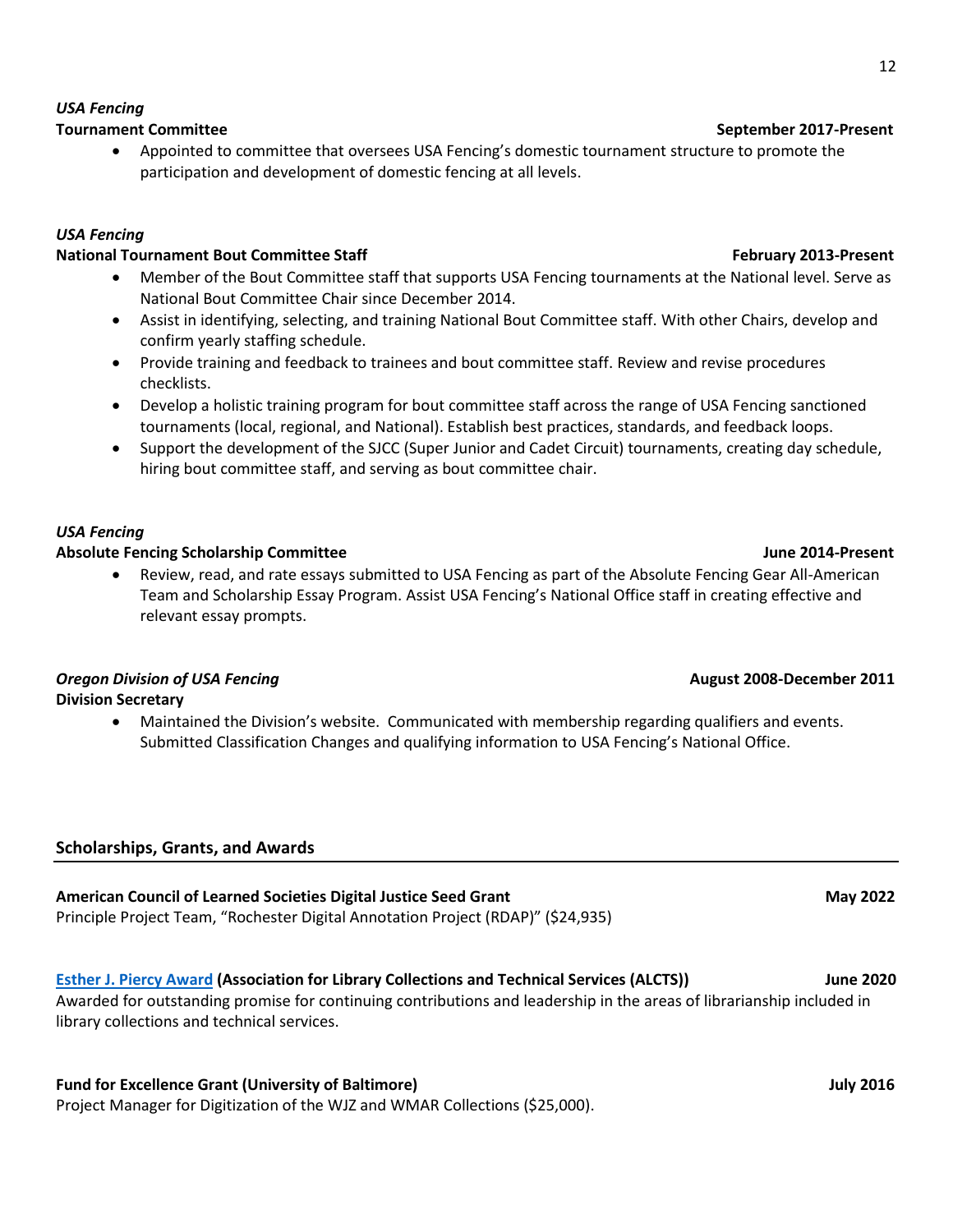### **Tournament Committee September 2017-Present**

• Appointed to committee that oversees USA Fencing's domestic tournament structure to promote the participation and development of domestic fencing at all levels.

# *USA Fencing*

*USA Fencing*

## **National Tournament Bout Committee Staff February 2013-Present February 2013-Present**

- Member of the Bout Committee staff that supports USA Fencing tournaments at the National level. Serve as National Bout Committee Chair since December 2014.
- Assist in identifying, selecting, and training National Bout Committee staff. With other Chairs, develop and confirm yearly staffing schedule.
- Provide training and feedback to trainees and bout committee staff. Review and revise procedures checklists.
- Develop a holistic training program for bout committee staff across the range of USA Fencing sanctioned tournaments (local, regional, and National). Establish best practices, standards, and feedback loops.
- Support the development of the SJCC (Super Junior and Cadet Circuit) tournaments, creating day schedule, hiring bout committee staff, and serving as bout committee chair.

# *USA Fencing*

### Absolute Fencing Scholarship Committee **June 2014-Present** June 2014-Present

• Review, read, and rate essays submitted to USA Fencing as part of the Absolute Fencing Gear All-American Team and Scholarship Essay Program. Assist USA Fencing's National Office staff in creating effective and relevant essay prompts.

# *Oregon Division of USA Fencing* **<b>August 2008-December 2011 August 2008-December 2011**

- **Division Secretary**
	- Maintained the Division's website. Communicated with membership regarding qualifiers and events. Submitted Classification Changes and qualifying information to USA Fencing's National Office.

# **Scholarships, Grants, and Awards**

# **American Council of Learned Societies Digital Justice Seed Grant May 2022 Communist Council of Learned Societies Digital Justice Seed Grant Communist Communist Communist Communist Communist Communist Communist Communist C** Principle Project Team, "Rochester Digital Annotation Project (RDAP)" (\$24,935) **[Esther J. Piercy Award](https://www.ala.org/news/member-news/2020/02/maggie-dull-selected-winner-2020-esther-j-piercy-award) (Association for Library Collections and Technical Services (ALCTS)) June 2020**

Awarded for outstanding promise for continuing contributions and leadership in the areas of librarianship included in library collections and technical services.

# **Fund for Excellence Grant (University of Baltimore) July 2016 July 2016**

Project Manager for Digitization of the WJZ and WMAR Collections (\$25,000).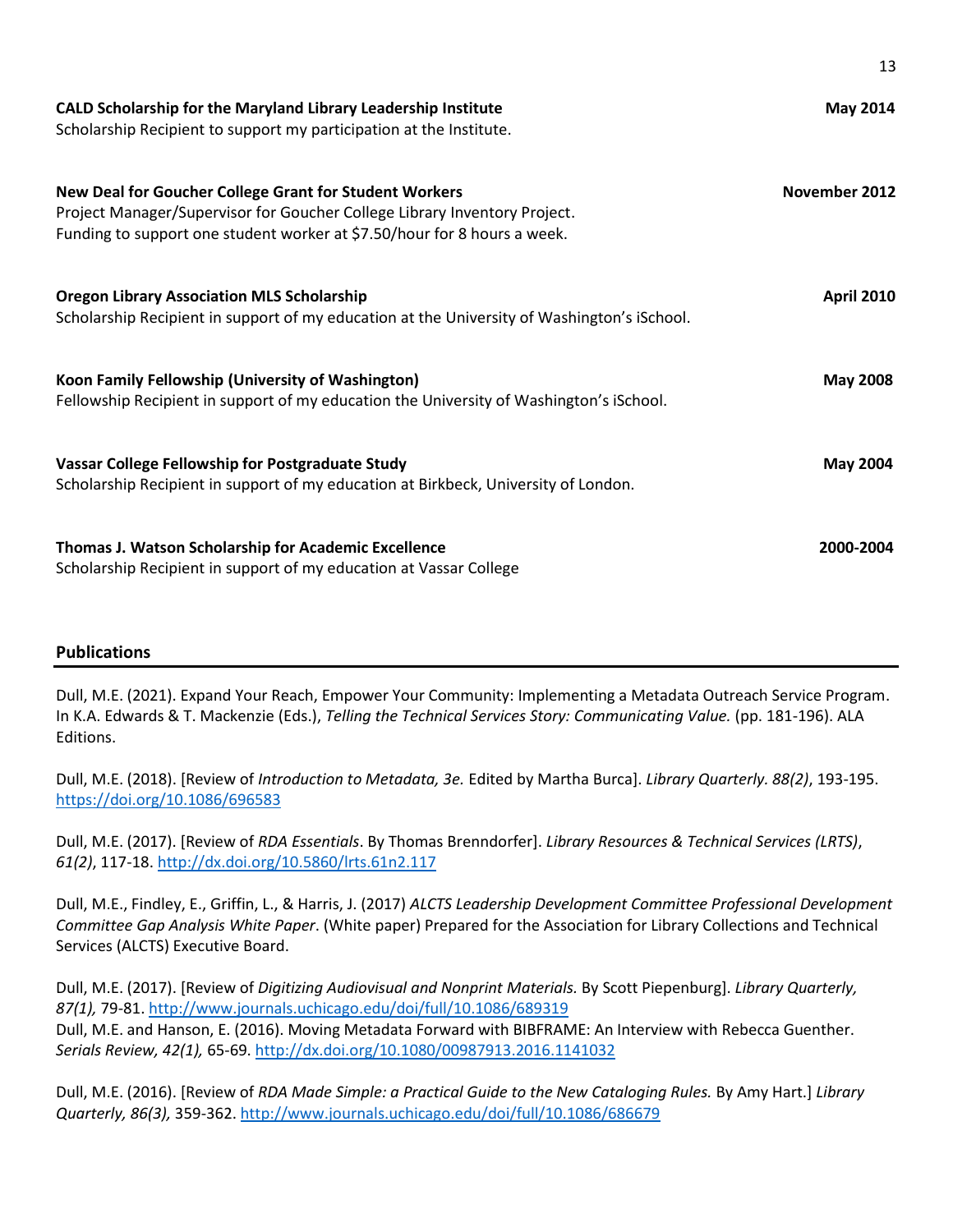| CALD Scholarship for the Maryland Library Leadership Institute<br>Scholarship Recipient to support my participation at the Institute.                                                                           | <b>May 2014</b>   |
|-----------------------------------------------------------------------------------------------------------------------------------------------------------------------------------------------------------------|-------------------|
| New Deal for Goucher College Grant for Student Workers<br>Project Manager/Supervisor for Goucher College Library Inventory Project.<br>Funding to support one student worker at \$7.50/hour for 8 hours a week. | November 2012     |
| <b>Oregon Library Association MLS Scholarship</b><br>Scholarship Recipient in support of my education at the University of Washington's iSchool.                                                                | <b>April 2010</b> |
| Koon Family Fellowship (University of Washington)<br>Fellowship Recipient in support of my education the University of Washington's iSchool.                                                                    | <b>May 2008</b>   |
| Vassar College Fellowship for Postgraduate Study<br>Scholarship Recipient in support of my education at Birkbeck, University of London.                                                                         | <b>May 2004</b>   |
| Thomas J. Watson Scholarship for Academic Excellence<br>Scholarship Recipient in support of my education at Vassar College                                                                                      | 2000-2004         |

13

### **Publications**

Dull, M.E. (2021). Expand Your Reach, Empower Your Community: Implementing a Metadata Outreach Service Program. In K.A. Edwards & T. Mackenzie (Eds.), *Telling the Technical Services Story: Communicating Value.* (pp. 181-196). ALA Editions.

Dull, M.E. (2018). [Review of *Introduction to Metadata, 3e.* Edited by Martha Burca]. *Library Quarterly. 88(2)*, 193-195. <https://doi.org/10.1086/696583>

Dull, M.E. (2017). [Review of *RDA Essentials*. By Thomas Brenndorfer]. *Library Resources & Technical Services (LRTS)*, *61(2)*, 117-18.<http://dx.doi.org/10.5860/lrts.61n2.117>

Dull, M.E., Findley, E., Griffin, L., & Harris, J. (2017) *ALCTS Leadership Development Committee Professional Development Committee Gap Analysis White Paper*. (White paper) Prepared for the Association for Library Collections and Technical Services (ALCTS) Executive Board.

Dull, M.E. (2017). [Review of *Digitizing Audiovisual and Nonprint Materials.* By Scott Piepenburg]. *Library Quarterly, 87(1),* 79-81[. http://www.journals.uchicago.edu/doi/full/10.1086/689319](http://www.journals.uchicago.edu/doi/full/10.1086/689319) Dull, M.E. and Hanson, E. (2016). Moving Metadata Forward with BIBFRAME: An Interview with Rebecca Guenther. *Serials Review, 42(1),* 65-69.<http://dx.doi.org/10.1080/00987913.2016.1141032>

Dull, M.E. (2016). [Review of *RDA Made Simple: a Practical Guide to the New Cataloging Rules.* By Amy Hart.] *Library Quarterly, 86(3),* 359-362[. http://www.journals.uchicago.edu/doi/full/10.1086/686679](http://www.journals.uchicago.edu/doi/full/10.1086/686679)